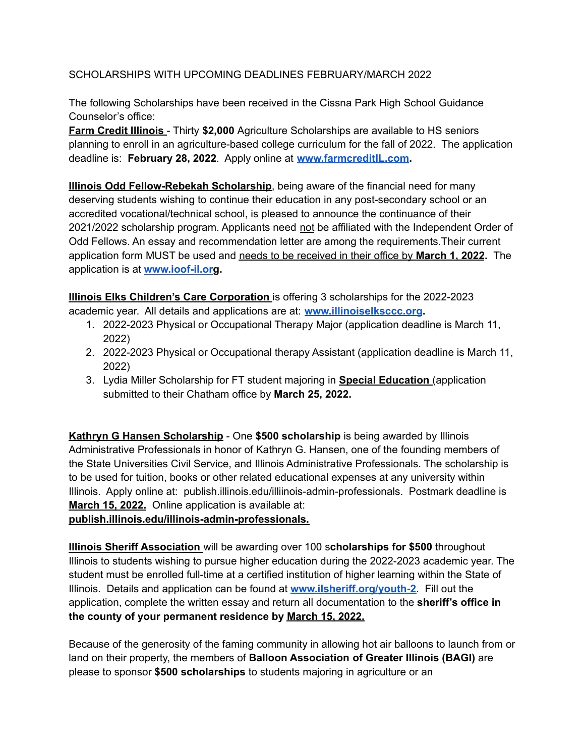## SCHOLARSHIPS WITH UPCOMING DEADLINES FEBRUARY/MARCH 2022

The following Scholarships have been received in the Cissna Park High School Guidance Counselor's office:

**Farm Credit Illinois** - Thirty **\$2,000** Agriculture Scholarships are available to HS seniors planning to enroll in an agriculture-based college curriculum for the fall of 2022. The application deadline is: **February 28, 2022**. Apply online at **[www.farmcreditIL.com](http://www.farmcreditil.com).**

**Illinois Odd Fellow-Rebekah Scholarship**, being aware of the financial need for many deserving students wishing to continue their education in any post-secondary school or an accredited vocational/technical school, is pleased to announce the continuance of their 2021/2022 scholarship program. Applicants need not be affiliated with the Independent Order of Odd Fellows. An essay and recommendation letter are among the requirements.Their current application form MUST be used and needs to be received in their office by **March 1, 2022.** The application is at **[www.ioof-il.or](http://www.ioof-il.orb)g.**

**Illinois Elks Children's Care Corporation** is offering 3 scholarships for the 2022-2023 academic year. All details and applications are at: **[www.illinoiselksccc.org](http://www.illinoiselksccc.org).**

- 1. 2022-2023 Physical or Occupational Therapy Major (application deadline is March 11, 2022)
- 2. 2022-2023 Physical or Occupational therapy Assistant (application deadline is March 11, 2022)
- 3. Lydia Miller Scholarship for FT student majoring in **Special Education** (application submitted to their Chatham office by **March 25, 2022.**

**Kathryn G Hansen Scholarship** - One **\$500 scholarship** is being awarded by Illinois Administrative Professionals in honor of Kathryn G. Hansen, one of the founding members of the State Universities Civil Service, and Illinois Administrative Professionals. The scholarship is to be used for tuition, books or other related educational expenses at any university within Illinois. Apply online at: publish.illinois.edu/illiinois-admin-professionals. Postmark deadline is **March 15, 2022.** Online application is available at: **publish.illinois.edu/illinois-admin-professionals.**

**Illinois Sheriff Association** will be awarding over 100 s**cholarships for \$500** throughout Illinois to students wishing to pursue higher education during the 2022-2023 academic year. The student must be enrolled full-time at a certified institution of higher learning within the State of Illinois. Details and application can be found at **[www.ilsheriff.org/youth-2](http://www.ilsheriff.org/youth-2)**. Fill out the application, complete the written essay and return all documentation to the **sheriff's office in the county of your permanent residence by March 15, 2022.**

Because of the generosity of the faming community in allowing hot air balloons to launch from or land on their property, the members of **Balloon Association of Greater Illinois (BAGI)** are please to sponsor **\$500 scholarships** to students majoring in agriculture or an